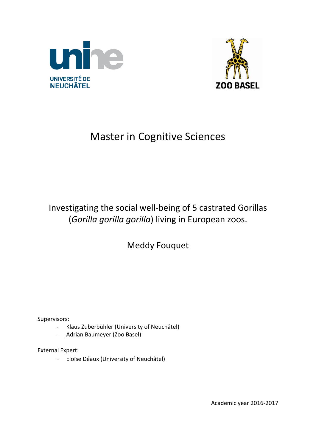



# Master in Cognitive Sciences

# Investigating the social well-being of 5 castrated Gorillas (*Gorilla gorilla gorilla*) living in European zoos.

Meddy Fouquet

Supervisors:

- Klaus Zuberbühler (University of Neuchâtel)
- Adrian Baumeyer (Zoo Basel)

External Expert:

- Eloïse Déaux (University of Neuchâtel)

Academic year 2016-2017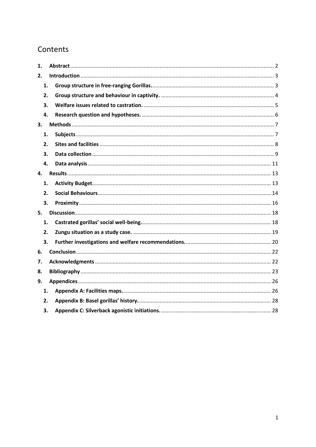# Contents

| 1. |    |  |
|----|----|--|
| 2. |    |  |
|    | 1. |  |
|    | 2. |  |
|    | 3. |  |
|    | 4. |  |
| 3. |    |  |
|    | 1. |  |
|    | 2. |  |
|    | 3. |  |
|    | 4. |  |
| 4. |    |  |
|    | 1. |  |
|    | 2. |  |
|    | 3. |  |
| 5. |    |  |
|    | 1. |  |
|    | 2. |  |
|    | 3. |  |
| 6. |    |  |
| 7. |    |  |
| 8. |    |  |
| 9. |    |  |
|    | 1. |  |
|    | 2. |  |
|    | З. |  |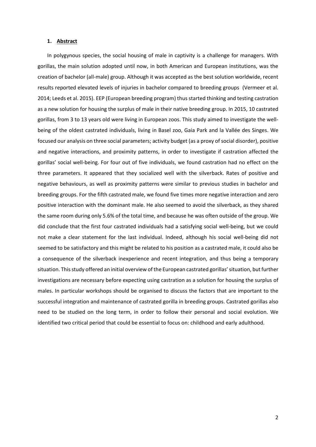#### <span id="page-2-0"></span>**1. Abstract**

In polygynous species, the social housing of male in captivity is a challenge for managers. With gorillas, the main solution adopted until now, in both American and European institutions, was the creation of bachelor (all-male) group. Although it was accepted as the best solution worldwide, recent results reported elevated levels of injuries in bachelor compared to breeding groups (Vermeer et al. 2014; Leeds et al. 2015). EEP (European breeding program) thus started thinking and testing castration as a new solution for housing the surplus of male in their native breeding group. In 2015, 10 castrated gorillas, from 3 to 13 years old were living in European zoos. This study aimed to investigate the wellbeing of the oldest castrated individuals, living in Basel zoo, Gaia Park and la Vallée des Singes. We focused our analysis on three social parameters; activity budget (as a proxy of social disorder), positive and negative interactions, and proximity patterns, in order to investigate if castration affected the gorillas' social well-being. For four out of five individuals, we found castration had no effect on the three parameters. It appeared that they socialized well with the silverback. Rates of positive and negative behaviours, as well as proximity patterns were similar to previous studies in bachelor and breeding groups. For the fifth castrated male, we found five times more negative interaction and zero positive interaction with the dominant male. He also seemed to avoid the silverback, as they shared the same room during only 5.6% of the total time, and because he was often outside of the group. We did conclude that the first four castrated individuals had a satisfying social well-being, but we could not make a clear statement for the last individual. Indeed, although his social well-being did not seemed to be satisfactory and this might be related to his position as a castrated male, it could also be a consequence of the silverback inexperience and recent integration, and thus being a temporary situation. This study offered an initial overview of the European castrated gorillas'situation, but further investigations are necessary before expecting using castration as a solution for housing the surplus of males. In particular workshops should be organised to discuss the factors that are important to the successful integration and maintenance of castrated gorilla in breeding groups. Castrated gorillas also need to be studied on the long term, in order to follow their personal and social evolution. We identified two critical period that could be essential to focus on: childhood and early adulthood.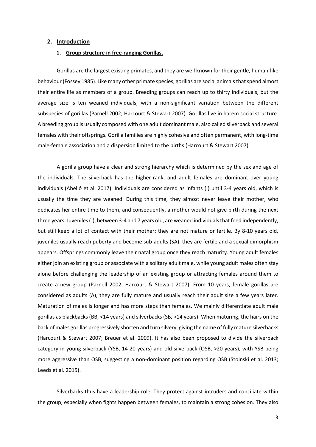#### <span id="page-3-1"></span><span id="page-3-0"></span>**2. Introduction**

#### **1. Group structure in free-ranging Gorillas.**

Gorillas are the largest existing primates, and they are well known for their gentle, human-like behaviour (Fossey 1985). Like many other primate species, gorillas are social animals that spend almost their entire life as members of a group. Breeding groups can reach up to thirty individuals, but the average size is ten weaned individuals, with a non-significant variation between the different subspecies of gorillas (Parnell 2002; Harcourt & Stewart 2007). Gorillas live in harem social structure. A breeding group is usually composed with one adult dominant male, also called silverback and several females with their offsprings. Gorilla families are highly cohesive and often permanent, with long-time male-female association and a dispersion limited to the births (Harcourt & Stewart 2007).

A gorilla group have a clear and strong hierarchy which is determined by the sex and age of the individuals. The silverback has the higher-rank, and adult females are dominant over young individuals (Abelló et al. 2017). Individuals are considered as infants (I) until 3-4 years old, which is usually the time they are weaned. During this time, they almost never leave their mother, who dedicates her entire time to them, and consequently, a mother would not give birth during the next three years. Juveniles (J), between 3-4 and 7 years old, are weaned individuals that feed independently, but still keep a lot of contact with their mother; they are not mature or fertile. By 8-10 years old, juveniles usually reach puberty and become sub-adults (SA), they are fertile and a sexual dimorphism appears. Offsprings commonly leave their natal group once they reach maturity. Young adult females either join an existing group or associate with a solitary adult male, while young adult males often stay alone before challenging the leadership of an existing group or attracting females around them to create a new group (Parnell 2002; Harcourt & Stewart 2007). From 10 years, female gorillas are considered as adults (A), they are fully mature and usually reach their adult size a few years later. Maturation of males is longer and has more steps than females. We mainly differentiate adult male gorillas as blackbacks (BB, <14 years) and silverbacks (SB, >14 years). When maturing, the hairs on the back of males gorillas progressively shorten and turn silvery, giving the name of fully mature silverbacks (Harcourt & Stewart 2007; Breuer et al. 2009). It has also been proposed to divide the silverback category in young silverback (YSB, 14-20 years) and old silverback (OSB, >20 years), with YSB being more aggressive than OSB, suggesting a non-dominant position regarding OSB (Stoinski et al. 2013; Leeds et al. 2015).

Silverbacks thus have a leadership role. They protect against intruders and conciliate within the group, especially when fights happen between females, to maintain a strong cohesion. They also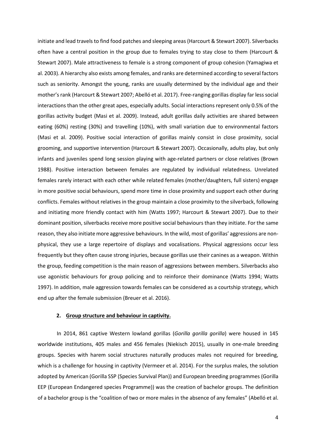initiate and lead travels to find food patches and sleeping areas (Harcourt & Stewart 2007). Silverbacks often have a central position in the group due to females trying to stay close to them (Harcourt & Stewart 2007). Male attractiveness to female is a strong component of group cohesion (Yamagiwa et al. 2003). A hierarchy also exists among females, and ranks are determined according to several factors such as seniority. Amongst the young, ranks are usually determined by the individual age and their mother'srank (Harcourt & Stewart 2007; Abelló et al. 2017). Free-ranging gorillas display far less social interactions than the other great apes, especially adults. Social interactions represent only 0.5% of the gorillas activity budget (Masi et al. 2009). Instead, adult gorillas daily activities are shared between eating (60%) resting (30%) and travelling (10%), with small variation due to environmental factors (Masi et al. 2009). Positive social interaction of gorillas mainly consist in close proximity, social grooming, and supportive intervention (Harcourt & Stewart 2007). Occasionally, adults play, but only infants and juveniles spend long session playing with age-related partners or close relatives (Brown 1988). Positive interaction between females are regulated by individual relatedness. Unrelated females rarely interact with each other while related females (mother/daughters, full sisters) engage in more positive social behaviours, spend more time in close proximity and support each other during conflicts. Females without relatives in the group maintain a close proximity to the silverback, following and initiating more friendly contact with him (Watts 1997; Harcourt & Stewart 2007). Due to their dominant position, silverbacks receive more positive social behaviours than they initiate. For the same reason, they also initiate more aggressive behaviours. In the wild, most of gorillas' aggressions are nonphysical, they use a large repertoire of displays and vocalisations. Physical aggressions occur less frequently but they often cause strong injuries, because gorillas use their canines as a weapon. Within the group, feeding competition is the main reason of aggressions between members. Silverbacks also use agonistic behaviours for group policing and to reinforce their dominance (Watts 1994; Watts 1997). In addition, male aggression towards females can be considered as a courtship strategy, which end up after the female submission (Breuer et al. 2016).

#### **2. Group structure and behaviour in captivity.**

<span id="page-4-0"></span>In 2014, 861 captive Western lowland gorillas (*Gorilla gorilla gorilla*) were housed in 145 worldwide institutions, 405 males and 456 females (Niekisch 2015), usually in one-male breeding groups. Species with harem social structures naturally produces males not required for breeding, which is a challenge for housing in captivity (Vermeer et al. 2014). For the surplus males, the solution adopted by American (Gorilla SSP (Species Survival Plan)) and European breeding programmes (Gorilla EEP (European Endangered species Programme)) was the creation of bachelor groups. The definition of a bachelor group is the "coalition of two or more males in the absence of any females" (Abelló et al.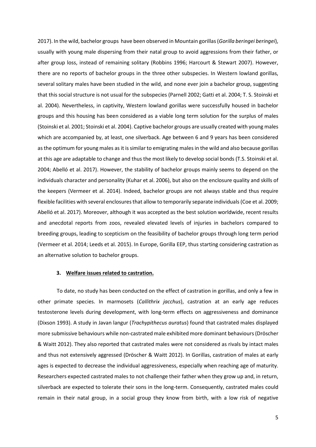2017). In the wild, bachelor groups have been observed in Mountain gorillas(*Gorilla beringei beringei*), usually with young male dispersing from their natal group to avoid aggressions from their father, or after group loss, instead of remaining solitary (Robbins 1996; Harcourt & Stewart 2007). However, there are no reports of bachelor groups in the three other subspecies. In Western lowland gorillas, several solitary males have been studied in the wild, and none ever join a bachelor group, suggesting that this social structure is not usual for the subspecies (Parnell 2002; Gatti et al. 2004; T. S. Stoinski et al. 2004). Nevertheless, in captivity, Western lowland gorillas were successfully housed in bachelor groups and this housing has been considered as a viable long term solution for the surplus of males (Stoinski et al. 2001; Stoinski et al. 2004). Captive bachelor groups are usually created with young males which are accompanied by, at least, one silverback. Age between 6 and 9 years has been considered as the optimum for young males as it is similar to emigrating malesin the wild and also because gorillas at this age are adaptable to change and thus the most likely to develop social bonds (T.S. Stoinski et al. 2004; Abelló et al. 2017). However, the stability of bachelor groups mainly seems to depend on the individuals character and personality (Kuhar et al. 2006), but also on the enclosure quality and skills of the keepers (Vermeer et al. 2014). Indeed, bachelor groups are not always stable and thus require flexible facilities with several enclosuresthat allow to temporarily separate individuals (Coe et al. 2009; Abelló et al. 2017). Moreover, although it was accepted as the best solution worldwide, recent results and anecdotal reports from zoos, revealed elevated levels of injuries in bachelors compared to breeding groups, leading to scepticism on the feasibility of bachelor groups through long term period (Vermeer et al. 2014; Leeds et al. 2015). In Europe, Gorilla EEP, thus starting considering castration as an alternative solution to bachelor groups.

#### **3. Welfare issues related to castration.**

<span id="page-5-0"></span>To date, no study has been conducted on the effect of castration in gorillas, and only a few in other primate species. In marmosets (*Callithrix jacchus*), castration at an early age reduces testosterone levels during development, with long-term effects on aggressiveness and dominance (Dixson 1993). A study in Javan langur (*Trachypithecus auratus*) found that castrated males displayed more submissive behaviours while non-castrated male exhibited more dominant behaviours (Dröscher & Waitt 2012). They also reported that castrated males were not considered as rivals by intact males and thus not extensively aggressed (Dröscher & Waitt 2012). In Gorillas, castration of males at early ages is expected to decrease the individual aggressiveness, especially when reaching age of maturity. Researchers expected castrated males to not challenge their father when they grow up and, in return, silverback are expected to tolerate their sons in the long-term. Consequently, castrated males could remain in their natal group, in a social group they know from birth, with a low risk of negative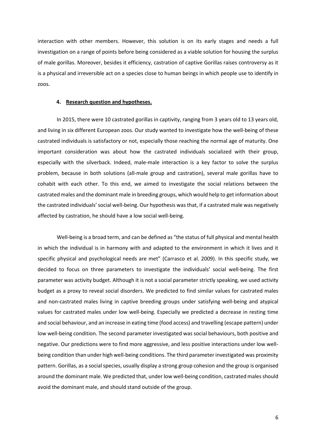interaction with other members. However, this solution is on its early stages and needs a full investigation on a range of points before being considered as a viable solution for housing the surplus of male gorillas. Moreover, besides it efficiency, castration of captive Gorillas raises controversy as it is a physical and irreversible act on a species close to human beings in which people use to identify in zoos.

#### **4. Research question and hypotheses.**

<span id="page-6-0"></span>In 2015, there were 10 castrated gorillas in captivity, ranging from 3 years old to 13 years old, and living in six different European zoos. Our study wanted to investigate how the well-being of these castrated individuals is satisfactory or not, especially those reaching the normal age of maturity. One important consideration was about how the castrated individuals socialized with their group, especially with the silverback. Indeed, male-male interaction is a key factor to solve the surplus problem, because in both solutions (all-male group and castration), several male gorillas have to cohabit with each other. To this end, we aimed to investigate the social relations between the castrated males and the dominant male in breeding groups, which would help to get information about the castrated individuals' social well-being. Our hypothesis was that, if a castrated male was negatively affected by castration, he should have a low social well-being.

Well-being is a broad term, and can be defined as "the status of full physical and mental health in which the individual is in harmony with and adapted to the environment in which it lives and it specific physical and psychological needs are met" (Carrasco et al. 2009). In this specific study, we decided to focus on three parameters to investigate the individuals' social well-being. The first parameter was activity budget. Although it is not a social parameter strictly speaking, we used activity budget as a proxy to reveal social disorders. We predicted to find similar values for castrated males and non-castrated males living in captive breeding groups under satisfying well-being and atypical values for castrated males under low well-being. Especially we predicted a decrease in resting time and social behaviour, and an increase in eating time (food access) and travelling (escape pattern) under low well-being condition. The second parameter investigated was social behaviours, both positive and negative. Our predictions were to find more aggressive, and less positive interactions under low wellbeing condition than under high well-being conditions. The third parameter investigated was proximity pattern. Gorillas, as a social species, usually display a strong group cohesion and the group is organised around the dominant male. We predicted that, under low well-being condition, castrated males should avoid the dominant male, and should stand outside of the group.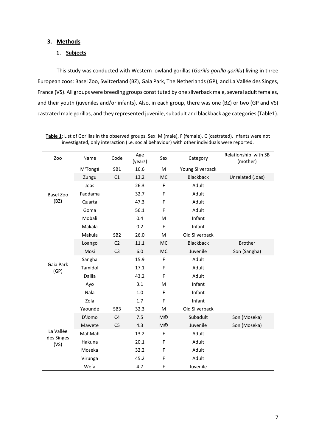## <span id="page-7-1"></span><span id="page-7-0"></span>**3. Methods**

### **1. Subjects**

This study was conducted with Western lowland gorillas (*Gorilla gorilla gorilla*) living in three European zoos: Basel Zoo, Switzerland (BZ), Gaia Park, The Netherlands (GP), and La Vallée des Singes, France (VS). All groups were breeding groups constituted by one silverback male, several adult females, and their youth (juveniles and/or infants). Also, in each group, there was one (BZ) or two (GP and VS) castrated male gorillas, and they represented juvenile, subadult and blackback age categories(Table1).

| Zoo                     | Name    | Code            | Age<br>(years) | Sex                   | Category         | Relationship with SB<br>(mother) |
|-------------------------|---------|-----------------|----------------|-----------------------|------------------|----------------------------------|
|                         | M'Tongé | SB1             | 16.6           | M                     | Young Silverback |                                  |
|                         | Zungu   | C1              | 13.2           | <b>MC</b>             | <b>Blackback</b> | Unrelated (Joas)                 |
|                         | Joas    |                 | 26.3           | F                     | Adult            |                                  |
| Basel Zoo               | Faddama |                 | 32.7           | F                     | Adult            |                                  |
| (BZ)                    | Quarta  |                 | 47.3           | F                     | Adult            |                                  |
|                         | Goma    |                 | 56.1           | F                     | Adult            |                                  |
|                         | Mobali  |                 | 0.4            | M                     | Infant           |                                  |
|                         | Makala  |                 | 0.2            | F                     | Infant           |                                  |
|                         | Makula  | SB <sub>2</sub> | 26.0           | M                     | Old Silverback   |                                  |
|                         | Loango  | C <sub>2</sub>  | 11.1           | <b>MC</b>             | <b>Blackback</b> | <b>Brother</b>                   |
|                         | Mosi    | C <sub>3</sub>  | 6.0            | <b>MC</b>             | Juvenile         | Son (Sangha)                     |
|                         | Sangha  |                 | 15.9           | F                     | Adult            |                                  |
| Gaia Park<br>(GP)       | Tamidol |                 | 17.1           | F                     | Adult            |                                  |
|                         | Dalila  |                 | 43.2           | F                     | Adult            |                                  |
|                         | Ayo     |                 | 3.1            | M                     | Infant           |                                  |
|                         | Nala    |                 | 1.0            | F                     | Infant           |                                  |
|                         | Zola    |                 | 1.7            | F                     | Infant           |                                  |
|                         | Yaoundé | SB <sub>3</sub> | 32.3           | M                     | Old Silverback   |                                  |
|                         | D'Jomo  | C <sub>4</sub>  | 7.5            | <b>M</b> <sup>©</sup> | Subadult         | Son (Moseka)                     |
|                         | Mawete  | C <sub>5</sub>  | 4.3            | <b>M</b> <sup>©</sup> | Juvenile         | Son (Moseka)                     |
| La Vallée<br>des Singes | MahMah  |                 | 13.2           | F                     | Adult            |                                  |
| (VS)                    | Hakuna  |                 | 20.1           | F                     | Adult            |                                  |
|                         | Moseka  |                 | 32.2           | F                     | Adult            |                                  |
|                         | Virunga |                 | 45.2           | F                     | Adult            |                                  |
|                         | Wefa    |                 | 4.7            | F                     | Juvenile         |                                  |

**Table 1**: List of Gorillas in the observed groups. Sex: M (male), F (female), C (castrated). Infants were not investigated, only interaction (i.e. social behaviour) with other individuals were reported.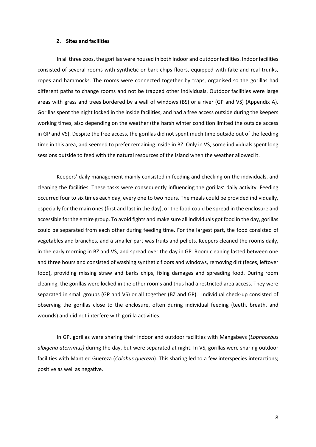#### **2. Sites and facilities**

<span id="page-8-0"></span>In all three zoos, the gorillas were housed in both indoor and outdoor facilities. Indoor facilities consisted of several rooms with synthetic or bark chips floors, equipped with fake and real trunks, ropes and hammocks. The rooms were connected together by traps, organised so the gorillas had different paths to change rooms and not be trapped other individuals. Outdoor facilities were large areas with grass and trees bordered by a wall of windows (BS) or a river (GP and VS) (Appendix A). Gorillas spent the night locked in the inside facilities, and had a free access outside during the keepers working times, also depending on the weather (the harsh winter condition limited the outside access in GP and VS). Despite the free access, the gorillas did not spent much time outside out of the feeding time in this area, and seemed to prefer remaining inside in BZ. Only in VS, some individuals spent long sessions outside to feed with the natural resources of the island when the weather allowed it.

Keepers' daily management mainly consisted in feeding and checking on the individuals, and cleaning the facilities. These tasks were consequently influencing the gorillas' daily activity. Feeding occurred four to six times each day, every one to two hours. The meals could be provided individually, especially for the main ones (first and last in the day), or the food could be spread in the enclosure and accessible for the entire group. To avoid fights and make sure all individuals got food in the day, gorillas could be separated from each other during feeding time. For the largest part, the food consisted of vegetables and branches, and a smaller part was fruits and pellets. Keepers cleaned the rooms daily, in the early morning in BZ and VS, and spread over the day in GP. Room cleaning lasted between one and three hours and consisted of washing synthetic floors and windows, removing dirt (feces, leftover food), providing missing straw and barks chips, fixing damages and spreading food. During room cleaning, the gorillas were locked in the other rooms and thus had a restricted area access. They were separated in small groups (GP and VS) or all together (BZ and GP). Individual check-up consisted of observing the gorillas close to the enclosure, often during individual feeding (teeth, breath, and wounds) and did not interfere with gorilla activities.

In GP, gorillas were sharing their indoor and outdoor facilities with Mangabeys (*Lophocebus albigena aterrimus)* during the day, but were separated at night. In VS, gorillas were sharing outdoor facilities with Mantled Guereza (*Colobus guereza*). This sharing led to a few interspecies interactions; positive as well as negative.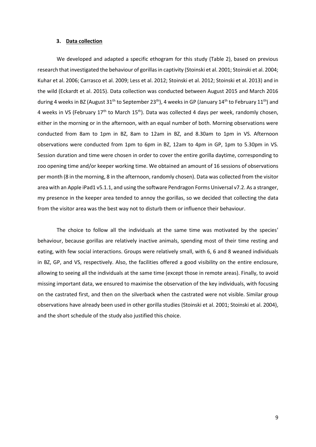#### **3. Data collection**

<span id="page-9-0"></span>We developed and adapted a specific ethogram for this study (Table 2), based on previous research that investigated the behaviour of gorillas in captivity (Stoinski et al. 2001; Stoinski et al. 2004; Kuhar et al. 2006; Carrasco et al. 2009; Less et al. 2012; Stoinski et al. 2012; Stoinski et al. 2013) and in the wild (Eckardt et al. 2015). Data collection was conducted between August 2015 and March 2016 during 4 weeks in BZ (August 31<sup>th</sup> to September 23<sup>th</sup>), 4 weeks in GP (January 14<sup>th</sup> to February 11<sup>th</sup>) and 4 weeks in VS (February 17<sup>th</sup> to March 15<sup>th</sup>). Data was collected 4 days per week, randomly chosen, either in the morning or in the afternoon, with an equal number of both. Morning observations were conducted from 8am to 1pm in BZ, 8am to 12am in BZ, and 8.30am to 1pm in VS. Afternoon observations were conducted from 1pm to 6pm in BZ, 12am to 4pm in GP, 1pm to 5.30pm in VS. Session duration and time were chosen in order to cover the entire gorilla daytime, corresponding to zoo opening time and/or keeper working time. We obtained an amount of 16 sessions of observations per month (8 in the morning, 8 in the afternoon, randomly chosen). Data was collected from the visitor area with an Apple iPad1 v5.1.1, and using the software Pendragon Forms Universal v7.2. As a stranger, my presence in the keeper area tended to annoy the gorillas, so we decided that collecting the data from the visitor area was the best way not to disturb them or influence their behaviour.

The choice to follow all the individuals at the same time was motivated by the species' behaviour, because gorillas are relatively inactive animals, spending most of their time resting and eating, with few social interactions. Groups were relatively small, with 6, 6 and 8 weaned individuals in BZ, GP, and VS, respectively. Also, the facilities offered a good visibility on the entire enclosure, allowing to seeing all the individuals at the same time (except those in remote areas). Finally, to avoid missing important data, we ensured to maximise the observation of the key individuals, with focusing on the castrated first, and then on the silverback when the castrated were not visible. Similar group observations have already been used in other gorilla studies (Stoinski et al. 2001; Stoinski et al. 2004), and the short schedule of the study also justified this choice.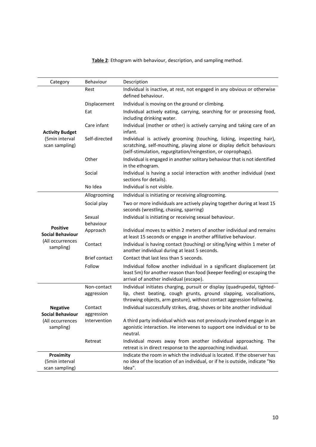| Category                                   | Behaviour                 | Description                                                                                                                                                                                                            |
|--------------------------------------------|---------------------------|------------------------------------------------------------------------------------------------------------------------------------------------------------------------------------------------------------------------|
|                                            | Rest                      | Individual is inactive, at rest, not engaged in any obvious or otherwise<br>defined behaviour.                                                                                                                         |
|                                            | Displacement              | Individual is moving on the ground or climbing.                                                                                                                                                                        |
|                                            | Eat                       | Individual actively eating, carrying, searching for or processing food,<br>including drinking water.                                                                                                                   |
| <b>Activity Budget</b>                     | Care infant               | Individual (mother or other) is actively carrying and taking care of an<br>infant.                                                                                                                                     |
| (5min interval<br>scan sampling)           | Self-directed             | Individual is actively grooming (touching, licking, inspecting hair),<br>scratching, self-mouthing, playing alone or display deficit behaviours<br>(self-stimulation, regurgitation/reingestion, or coprophagy).       |
|                                            | Other                     | Individual is engaged in another solitary behaviour that is not identified<br>in the ethogram.                                                                                                                         |
|                                            | Social                    | Individual is having a social interaction with another individual (next<br>sections for details).                                                                                                                      |
|                                            | No Idea                   | Individual is not visible.                                                                                                                                                                                             |
|                                            | Allogrooming              | Individual is initiating or receiving allogrooming.                                                                                                                                                                    |
|                                            | Social play               | Two or more individuals are actively playing together during at least 15<br>seconds (wrestling, chasing, sparring)                                                                                                     |
|                                            | Sexual                    | Individual is initiating or receiving sexual behaviour.                                                                                                                                                                |
| <b>Positive</b><br><b>Social Behaviour</b> | behaviour<br>Approach     | Individual moves to within 2 meters of another individual and remains<br>at least 15 seconds or engage in another affiliative behaviour.                                                                               |
| (All occurrences<br>sampling)              | Contact                   | Individual is having contact (touching) or siting/lying within 1 meter of<br>another individual during at least 5 seconds.                                                                                             |
|                                            | <b>Brief contact</b>      | Contact that last less than 5 seconds.                                                                                                                                                                                 |
|                                            | Follow                    | Individual follow another individual in a significant displacement (at<br>least 5m) for another reason than food (keeper feeding) or escaping the<br>arrival of another individual (escape).                           |
|                                            | Non-contact<br>aggression | Individual initiates charging, pursuit or display (quadrupedal, tighted-<br>lip, chest beating, cough grunts, ground slapping, vocalisations,<br>throwing objects, arm gesture), without contact aggression following. |
| <b>Negative</b>                            | Contact                   | Individual successfully strikes, drag, shoves or bite another individual                                                                                                                                               |
| <b>Social Behaviour</b>                    | aggression                |                                                                                                                                                                                                                        |
| (All occurrences<br>sampling)              | Intervention              | A third party individual which was not previously involved engage in an<br>agonistic interaction. He intervenes to support one individual or to be<br>neutral.                                                         |
|                                            | Retreat                   | Individual moves away from another individual approaching. The<br>retreat is in direct response to the approaching individual.                                                                                         |
| Proximity                                  |                           | Indicate the room in which the individual is located. If the observer has                                                                                                                                              |
| (5min interval<br>scan sampling)           |                           | no idea of the location of an individual, or if he is outside, indicate "No<br>Idea".                                                                                                                                  |
|                                            |                           |                                                                                                                                                                                                                        |

**Table 2**: Ethogram with behaviour, description, and sampling method.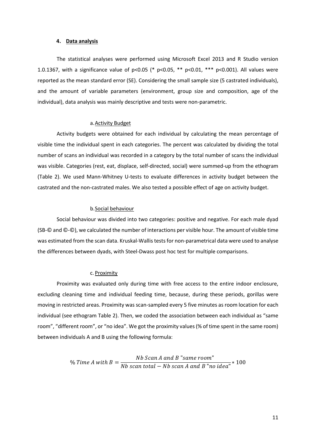#### **4. Data analysis**

<span id="page-11-0"></span>The statistical analyses were performed using Microsoft Excel 2013 and R Studio version 1.0.1367, with a significance value of p<0.05 (\* p<0.05, \*\* p<0.01, \*\*\* p<0.001). All values were reported as the mean standard error (SE). Considering the small sample size (5 castrated individuals), and the amount of variable parameters (environment, group size and composition, age of the individual), data analysis was mainly descriptive and tests were non-parametric.

### a.Activity Budget

Activity budgets were obtained for each individual by calculating the mean percentage of visible time the individual spent in each categories. The percent was calculated by dividing the total number of scans an individual was recorded in a category by the total number of scans the individual was visible. Categories (rest, eat, displace, self-directed, social) were summed-up from the ethogram (Table 2). We used Mann-Whitney U-tests to evaluate differences in activity budget between the castrated and the non-castrated males. We also tested a possible effect of age on activity budget.

#### b.Social behaviour

Social behaviour was divided into two categories: positive and negative. For each male dyad (SB-© and ©-©), we calculated the number of interactions per visible hour. The amount of visible time was estimated from the scan data. Kruskal-Wallis testsfor non-parametrical data were used to analyse the differences between dyads, with Steel-Dwass post hoc test for multiple comparisons.

#### c. Proximity

Proximity was evaluated only during time with free access to the entire indoor enclosure, excluding cleaning time and individual feeding time, because, during these periods, gorillas were moving in restricted areas. Proximity was scan-sampled every 5 five minutes as room location for each individual (see ethogram Table 2). Then, we coded the association between each individual as "same room", "different room", or "no idea". We got the proximity values (% of time spent in the same room) between individuals A and B using the following formula:

> $%$  Time A with  $B =$ Nb Scan A and B "same room"  $\frac{1}{N}$  scan total –  $Nb$  scan A and B "no idea"  $*$  100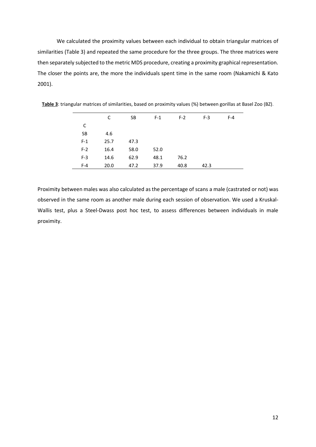We calculated the proximity values between each individual to obtain triangular matrices of similarities (Table 3) and repeated the same procedure for the three groups. The three matrices were then separately subjected to the metric MDS procedure, creating a proximity graphical representation. The closer the points are, the more the individuals spent time in the same room (Nakamichi & Kato 2001).

|       | C    | <b>SB</b> | $F-1$ | $F-2$ | $F-3$ | $F-4$ |
|-------|------|-----------|-------|-------|-------|-------|
| C     |      |           |       |       |       |       |
| SB    | 4.6  |           |       |       |       |       |
| $F-1$ | 25.7 | 47.3      |       |       |       |       |
| $F-2$ | 16.4 | 58.0      | 52.0  |       |       |       |
| $F-3$ | 14.6 | 62.9      | 48.1  | 76.2  |       |       |
| $F-4$ | 20.0 | 47.2      | 37.9  | 40.8  | 42.3  |       |

**Table 3**: triangular matrices of similarities, based on proximity values (%) between gorillas at Basel Zoo (BZ)*.*

Proximity between males was also calculated as the percentage of scans a male (castrated or not) was observed in the same room as another male during each session of observation. We used a Kruskal-Wallis test, plus a Steel-Dwass post hoc test, to assess differences between individuals in male proximity.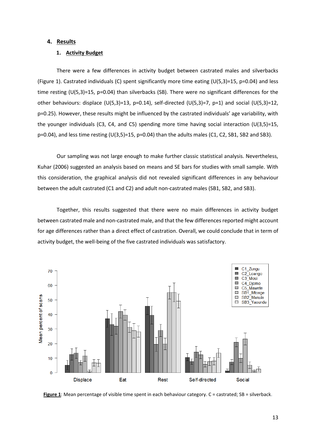### <span id="page-13-1"></span><span id="page-13-0"></span>**4. Results**

#### **1. Activity Budget**

There were a few differences in activity budget between castrated males and silverbacks (Figure 1). Castrated individuals (C) spent significantly more time eating  $(U(5,3)=15$ , p=0.04) and less time resting (U(5,3)=15, p=0.04) than silverbacks (SB). There were no significant differences for the other behaviours: displace (U(5,3)=13, p=0.14), self-directed (U(5,3)=7, p=1) and social (U(5,3)=12, p=0.25). However, these results might be influenced by the castrated individuals' age variability, with the younger individuals (C3, C4, and C5) spending more time having social interaction (U(3,5)=15, p=0.04), and less time resting (U(3,5)=15, p=0.04) than the adults males (C1, C2, SB1, SB2 and SB3).

Our sampling was not large enough to make further classic statistical analysis. Nevertheless, Kuhar (2006) suggested an analysis based on means and SE bars for studies with small sample. With this consideration, the graphical analysis did not revealed significant differences in any behaviour between the adult castrated (C1 and C2) and adult non-castrated males (SB1, SB2, and SB3).

Together, this results suggested that there were no main differences in activity budget between castrated male and non-castrated male, and that the few differences reported might account for age differences rather than a direct effect of castration. Overall, we could conclude that in term of activity budget, the well-being of the five castrated individuals was satisfactory.



**Figure 1**: Mean percentage of visible time spent in each behaviour category. C = castrated; SB = silverback.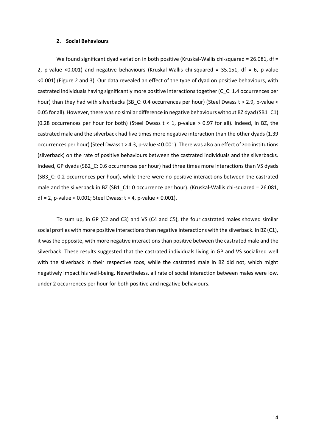#### **2. Social Behaviours**

<span id="page-14-0"></span>We found significant dyad variation in both positive (Kruskal-Wallis chi-squared = 26.081, df = 2, p-value <0.001) and negative behaviours (Kruskal-Wallis chi-squared = 35.151, df = 6, p-value <0.001) (Figure 2 and 3). Our data revealed an effect of the type of dyad on positive behaviours, with castrated individuals having significantly more positive interactions together (C\_C: 1.4 occurrences per hour) than they had with silverbacks (SB\_C: 0.4 occurrences per hour) (Steel Dwass t > 2.9, p-value < 0.05 for all). However, there was no similar difference in negative behaviours without BZ dyad (SB1\_C1) (0.28 occurrences per hour for both) (Steel Dwass  $t < 1$ , p-value > 0.97 for all). Indeed, in BZ, the castrated male and the silverback had five times more negative interaction than the other dyads (1.39 occurrences per hour) (Steel Dwass t > 4.3, p-value < 0.001). There was also an effect of zoo institutions (silverback) on the rate of positive behaviours between the castrated individuals and the silverbacks. Indeed, GP dyads (SB2 C: 0.6 occurrences per hour) had three times more interactions than VS dyads (SB3\_C: 0.2 occurrences per hour), while there were no positive interactions between the castrated male and the silverback in BZ (SB1\_C1: 0 occurrence per hour). (Kruskal-Wallis chi-squared = 26.081,  $df = 2$ , p-value < 0.001; Steel Dwass:  $t > 4$ , p-value < 0.001).

To sum up, in GP (C2 and C3) and VS (C4 and C5), the four castrated males showed similar social profiles with more positive interactions than negative interactions with the silverback. In BZ (C1), it was the opposite, with more negative interactions than positive between the castrated male and the silverback. These results suggested that the castrated individuals living in GP and VS socialized well with the silverback in their respective zoos, while the castrated male in BZ did not, which might negatively impact his well-being. Nevertheless, all rate of social interaction between males were low, under 2 occurrences per hour for both positive and negative behaviours.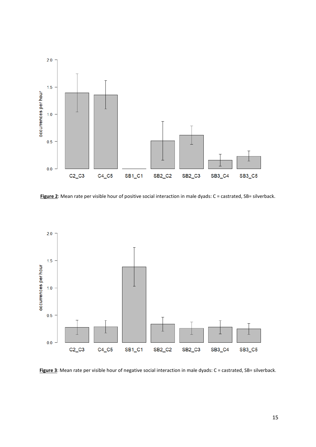

Figure 2: Mean rate per visible hour of positive social interaction in male dyads: C = castrated, SB= silverback.



Figure 3: Mean rate per visible hour of negative social interaction in male dyads: C = castrated, SB= silverback.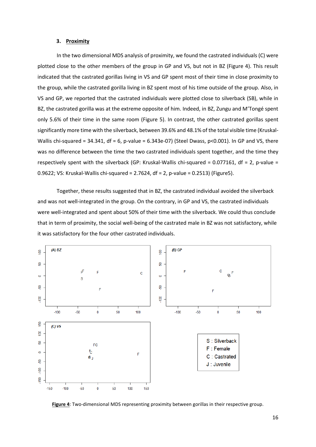#### **3. Proximity**

<span id="page-16-0"></span>In the two dimensional MDS analysis of proximity, we found the castrated individuals (C) were plotted close to the other members of the group in GP and VS, but not in BZ (Figure 4). This result indicated that the castrated gorillas living in VS and GP spent most of their time in close proximity to the group, while the castrated gorilla living in BZ spent most of his time outside of the group. Also, in VS and GP, we reported that the castrated individuals were plotted close to silverback (SB), while in BZ, the castrated gorilla was at the extreme opposite of him. Indeed, in BZ, Zungu and M'Tongé spent only 5.6% of their time in the same room (Figure 5). In contrast, the other castrated gorillas spent significantly more time with the silverback, between 39.6% and 48.1% of the total visible time (Kruskal-Wallis chi-squared = 34.341, df = 6, p-value = 6.343e-07) (Steel Dwass, p<0.001). In GP and VS, there was no difference between the time the two castrated individuals spent together, and the time they respectively spent with the silverback (GP: Kruskal-Wallis chi-squared = 0.077161, df = 2, p-value = 0.9622; VS: Kruskal-Wallis chi-squared = 2.7624, df = 2, p-value = 0.2513) (Figure5).

Together, these results suggested that in BZ, the castrated individual avoided the silverback and was not well-integrated in the group. On the contrary, in GP and VS, the castrated individuals were well-integrated and spent about 50% of their time with the silverback. We could thus conclude that in term of proximity, the social well-being of the castrated male in BZ was not satisfactory, while it was satisfactory for the four other castrated individuals.



**Figure 4**: Two-dimensional MDS representing proximity between gorillas in their respective group.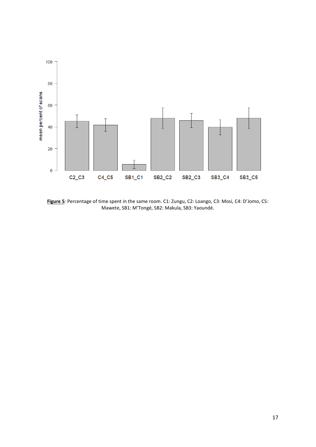

**Figure 5**: Percentage of time spent in the same room. C1: Zungu, C2: Loango, C3: Mosi, C4: D'Jomo, C5: Mawete, SB1: M'Tongé, SB2: Makula, SB3: Yaoundé.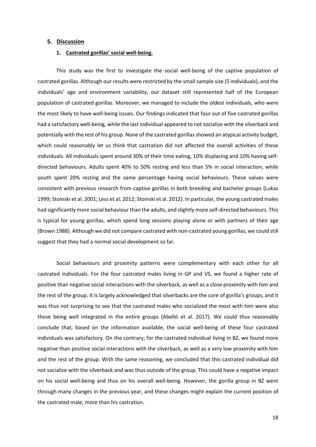#### <span id="page-18-1"></span><span id="page-18-0"></span>**5. Discussion**

#### **1. Castrated gorillas' social well-being.**

This study was the first to investigate the social well-being of the captive population of castrated gorillas. Although our results were restricted by the small sample size (5 individuals), and the individuals' age and environment variability, our dataset still represented half of the European population of castrated gorillas. Moreover, we managed to include the oldest individuals, who were the most likely to have well-being issues. Our findings indicated that four out of five castrated gorillas had a satisfactory well-being, while the last individual appeared to not socialize with the silverback and potentially with the rest of his group. None of the castrated gorillas showed an atypical activity budget, which could reasonably let us think that castration did not affected the overall activities of these individuals. All individuals spent around 30% of their time eating, 10% displacing and 10% having selfdirected behaviours. Adults spent 40% to 50% resting and less than 5% in social interaction, while youth spent 20% resting and the same percentage having social behaviours. These values were consistent with previous research from captive gorillas in both breeding and bachelor groups (Lukas 1999; Stoinski et al. 2001; Less et al. 2012; Stoinski et al. 2012). In particular, the young castrated males had significantly more social behaviour than the adults, and slightly more self-directed behaviours. This is typical for young gorillas, which spend long sessions playing alone or with partners of their age (Brown 1988). Although we did not compare castrated with non-castrated young gorillas, we could still suggest that they had a normal social development so far.

Social behaviours and proximity patterns were complementary with each other for all castrated individuals. For the four castrated males living in GP and VS, we found a higher rate of positive than negative social interactions with the silverback, as well as a close proximity with him and the rest of the group. It is largely acknowledged that silverbacks are the core of gorilla's groups, and it was thus not surprising to see that the castrated males who socialized the most with him were also those being well integrated in the entire groups (Abelló et al. 2017). We could thus reasonably conclude that, based on the information available, the social well-being of these four castrated individuals was satisfactory. On the contrary, for the castrated individual living in BZ, we found more negative than positive social interactions with the silverback, as well as a very low proximity with him and the rest of the group. With the same reasoning, we concluded that this castrated individual did not socialize with the silverback and was thus outside of the group. This could have a negative impact on his social well-being and thus on his overall well-being. However, the gorilla group in BZ went through many changes in the previous year, and these changes might explain the current position of the castrated male, more than his castration.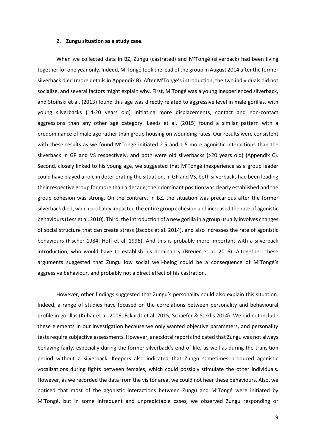#### **2. Zungu situation as a study case.**

<span id="page-19-0"></span>When we collected data in BZ, Zungu (castrated) and M'Tongé (silverback) had been living together for one year only. Indeed, M'Tongé took the lead of the group in August 2014 after the former silverback died (more details in Appendix B). After M'Tongé's introduction, the two individuals did not socialize, and several factors might explain why. First, M'Tongé was a young inexperienced silverback, and Stoinski et al. (2013) found this age was directly related to aggressive level in male gorillas, with young silverbacks (14-20 years old) initiating more displacements, contact and non-contact aggressions than any other age category. Leeds et al. (2015) found a similar pattern with a predominance of male age rather than group housing on wounding rates. Our results were consistent with these results as we found M'Tongé initiated 2.5 and 1.5 more agonistic interactions than the silverback in GP and VS respectively, and both were old silverbacks (>20 years old) (Appendix C). Second, closely linked to his young age, we suggested that M'Tongé inexperience as a group leader could have played a role in deteriorating the situation. In GP and VS, both silverbacks had been leading their respective group for more than a decade; their dominant position was clearly established and the group cohesion was strong. On the contrary, in BZ, the situation was precarious after the former silverback died, which probably impacted the entire group cohesion and increased the rate of agonistic behaviours (Less et al. 2010). Third, the introduction of a new gorilla in a group usually involves changes of social structure that can create stress (Jacobs et al. 2014), and also increases the rate of agonistic behaviours (Fischer 1984; Hoff et al. 1996). And this is probably more important with a silverback introduction, who would have to establish his dominancy (Breuer et al. 2016). Altogether, these arguments suggested that Zungu low social well-being could be a consequence of M'Tongé's aggressive behaviour, and probably not a direct effect of his castration.

However, other findings suggested that Zungu's personality could also explain this situation. Indeed, a range of studies have focused on the correlations between personality and behavioural profile in gorillas (Kuhar et al. 2006; Eckardt et al. 2015; Schaefer & Steklis 2014). We did not include these elements in our investigation because we only wanted objective parameters, and personality tests require subjective assessments. However, anecdotal reports indicated that Zungu was not always behaving fairly, especially during the former silverback's end of life, as well as during the transition period without a silverback. Keepers also indicated that Zungu sometimes produced agonistic vocalizations during fights between females, which could possibly stimulate the other individuals. However, as we recorded the data from the visitor area, we could not hear these behaviours. Also, we noticed that most of the agonistic interactions between Zungu and M'Tongé were initiated by M'Tongé, but in some infrequent and unpredictable cases, we observed Zungu responding or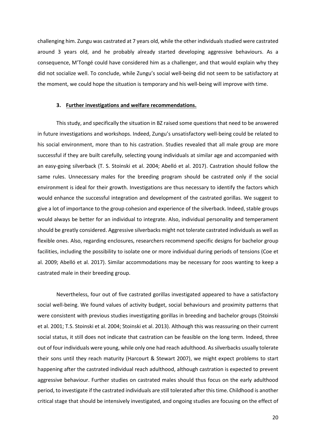challenging him. Zungu was castrated at 7 years old, while the other individualsstudied were castrated around 3 years old, and he probably already started developing aggressive behaviours. As a consequence, M'Tongé could have considered him as a challenger, and that would explain why they did not socialize well. To conclude, while Zungu's social well-being did not seem to be satisfactory at the moment, we could hope the situation is temporary and his well-being will improve with time.

#### **3. Further investigations and welfare recommendations.**

<span id="page-20-0"></span>This study, and specifically the situation in BZ raised some questions that need to be answered in future investigations and workshops. Indeed, Zungu's unsatisfactory well-being could be related to his social environment, more than to his castration. Studies revealed that all male group are more successful if they are built carefully, selecting young individuals at similar age and accompanied with an easy-going silverback (T. S. Stoinski et al. 2004; Abelló et al. 2017). Castration should follow the same rules. Unnecessary males for the breeding program should be castrated only if the social environment is ideal for their growth. Investigations are thus necessary to identify the factors which would enhance the successful integration and development of the castrated gorillas. We suggest to give a lot of importance to the group cohesion and experience of the silverback. Indeed, stable groups would always be better for an individual to integrate. Also, individual personality and temperament should be greatly considered. Aggressive silverbacks might not tolerate castrated individuals as well as flexible ones. Also, regarding enclosures, researchers recommend specific designs for bachelor group facilities, including the possibility to isolate one or more individual during periods of tensions (Coe et al. 2009; Abelló et al. 2017). Similar accommodations may be necessary for zoos wanting to keep a castrated male in their breeding group.

Nevertheless, four out of five castrated gorillas investigated appeared to have a satisfactory social well-being. We found values of activity budget, social behaviours and proximity patterns that were consistent with previous studies investigating gorillas in breeding and bachelor groups (Stoinski et al. 2001; T.S. Stoinski et al. 2004; Stoinski et al. 2013). Although this was reassuring on their current social status, it still does not indicate that castration can be feasible on the long term. Indeed, three out of four individuals were young, while only one had reach adulthood. As silverbacks usually tolerate their sons until they reach maturity (Harcourt & Stewart 2007), we might expect problems to start happening after the castrated individual reach adulthood, although castration is expected to prevent aggressive behaviour. Further studies on castrated males should thus focus on the early adulthood period, to investigate if the castrated individuals are still tolerated after this time. Childhood is another critical stage that should be intensively investigated, and ongoing studies are focusing on the effect of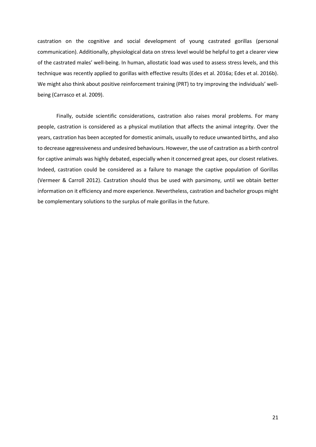castration on the cognitive and social development of young castrated gorillas (personal communication). Additionally, physiological data on stress level would be helpful to get a clearer view of the castrated males' well-being. In human, allostatic load was used to assess stress levels, and this technique was recently applied to gorillas with effective results (Edes et al. 2016a; Edes et al. 2016b). We might also think about positive reinforcement training (PRT) to try improving the individuals' wellbeing (Carrasco et al. 2009).

Finally, outside scientific considerations, castration also raises moral problems. For many people, castration is considered as a physical mutilation that affects the animal integrity. Over the years, castration has been accepted for domestic animals, usually to reduce unwanted births, and also to decrease aggressiveness and undesired behaviours. However, the use of castration as a birth control for captive animals was highly debated, especially when it concerned great apes, our closest relatives. Indeed, castration could be considered as a failure to manage the captive population of Gorillas (Vermeer & Carroll 2012). Castration should thus be used with parsimony, until we obtain better information on it efficiency and more experience. Nevertheless, castration and bachelor groups might be complementary solutions to the surplus of male gorillas in the future.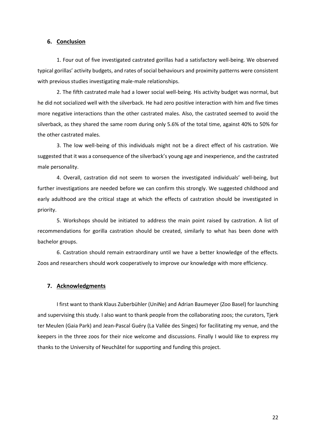#### <span id="page-22-0"></span>**6. Conclusion**

1. Four out of five investigated castrated gorillas had a satisfactory well-being. We observed typical gorillas' activity budgets, and rates of social behaviours and proximity patterns were consistent with previous studies investigating male-male relationships.

2. The fifth castrated male had a lower social well-being. His activity budget was normal, but he did not socialized well with the silverback. He had zero positive interaction with him and five times more negative interactions than the other castrated males. Also, the castrated seemed to avoid the silverback, as they shared the same room during only 5.6% of the total time, against 40% to 50% for the other castrated males.

3. The low well-being of this individuals might not be a direct effect of his castration. We suggested that it was a consequence of the silverback's young age and inexperience, and the castrated male personality.

4. Overall, castration did not seem to worsen the investigated individuals' well-being, but further investigations are needed before we can confirm this strongly. We suggested childhood and early adulthood are the critical stage at which the effects of castration should be investigated in priority.

5. Workshops should be initiated to address the main point raised by castration. A list of recommendations for gorilla castration should be created, similarly to what has been done with bachelor groups.

6. Castration should remain extraordinary until we have a better knowledge of the effects. Zoos and researchers should work cooperatively to improve our knowledge with more efficiency.

#### <span id="page-22-1"></span>**7. Acknowledgments**

I first want to thank Klaus Zuberbühler (UniNe) and Adrian Baumeyer (Zoo Basel) for launching and supervising this study. I also want to thank people from the collaborating zoos; the curators, Tjerk ter Meulen (Gaia Park) and Jean-Pascal Guéry (La Vallée des Singes) for facilitating my venue, and the keepers in the three zoos for their nice welcome and discussions. Finally I would like to express my thanks to the University of Neuchâtel for supporting and funding this project.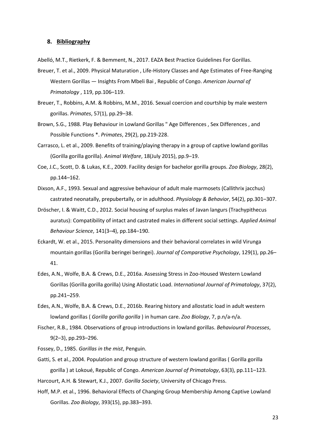#### <span id="page-23-0"></span>**8. Bibliography**

Abelló, M.T., Rietkerk, F. & Bemment, N., 2017. EAZA Best Practice Guidelines For Gorillas.

- Breuer, T. et al., 2009. Physical Maturation , Life-History Classes and Age Estimates of Free-Ranging Western Gorillas — Insights From Mbeli Bai , Republic of Congo. *American Journal of Primatology* , 119, pp.106–119.
- Breuer, T., Robbins, A.M. & Robbins, M.M., 2016. Sexual coercion and courtship by male western gorillas. *Primates*, 57(1), pp.29–38.
- Brown, S.G., 1988. Play Behaviour in Lowland Gorillas " Age Differences , Sex Differences , and Possible Functions \*. *Primates*, 29(2), pp.219-228.
- Carrasco, L. et al., 2009. Benefits of training/playing therapy in a group of captive lowland gorillas (Gorilla gorilla gorilla). *Animal Welfare*, 18(July 2015), pp.9–19.
- Coe, J.C., Scott, D. & Lukas, K.E., 2009. Facility design for bachelor gorilla groups. *Zoo Biology*, 28(2), pp.144–162.
- Dixson, A.F., 1993. Sexual and aggressive behaviour of adult male marmosets (Callithrix jacchus) castrated neonatally, prepubertally, or in adulthood. *Physiology & Behavior*, 54(2), pp.301–307.
- Dröscher, I. & Waitt, C.D., 2012. Social housing of surplus males of Javan langurs (Trachypithecus auratus): Compatibility of intact and castrated males in different social settings. *Applied Animal Behaviour Science*, 141(3–4), pp.184–190.
- Eckardt, W. et al., 2015. Personality dimensions and their behavioral correlates in wild Virunga mountain gorillas (Gorilla beringei beringei). *Journal of Comparative Psychology*, 129(1), pp.26– 41.
- Edes, A.N., Wolfe, B.A. & Crews, D.E., 2016a. Assessing Stress in Zoo-Housed Western Lowland Gorillas (Gorilla gorilla gorilla) Using Allostatic Load. *International Journal of Primatology*, 37(2), pp.241–259.
- Edes, A.N., Wolfe, B.A. & Crews, D.E., 2016b. Rearing history and allostatic load in adult western lowland gorillas ( *Gorilla gorilla gorilla* ) in human care. *Zoo Biology*, 7, p.n/a-n/a.
- Fischer, R.B., 1984. Observations of group introductions in lowland gorillas. *Behavioural Processes*, 9(2–3), pp.293–296.
- Fossey, D., 1985. *Gorillas in the mist*, Penguin.
- Gatti, S. et al., 2004. Population and group structure of western lowland gorillas ( Gorilla gorilla gorilla ) at Lokoué, Republic of Congo. *American Journal of Primatology*, 63(3), pp.111–123.

Harcourt, A.H. & Stewart, K.J., 2007. *Gorilla Society*, University of Chicago Press.

Hoff, M.P. et al., 1996. Behavioral Effects of Changing Group Membership Among Captive Lowland Gorillas. *Zoo Biology*, 393(15), pp.383–393.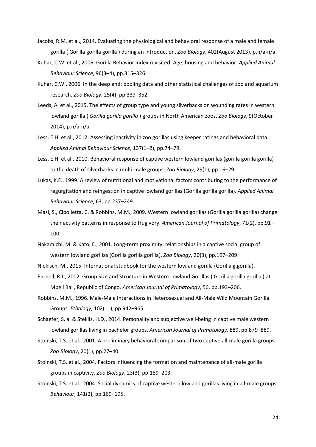- Jacobs, R.M. et al., 2014. Evaluating the physiological and behavioral response of a male and female gorilla ( Gorilla gorilla gorilla ) during an introduction. *Zoo Biology*, 402(August 2013), p.n/a-n/a.
- Kuhar, C.W. et al., 2006. Gorilla Behavior Index revisited: Age, housing and behavior. *Applied Animal Behaviour Science*, 96(3–4), pp.315–326.
- Kuhar, C.W., 2006. In the deep end: pooling data and other statistical challenges of zoo and aquarium research. *Zoo Biology*, 25(4), pp.339–352.
- Leeds, A. et al., 2015. The effects of group type and young silverbacks on wounding rates in western lowland gorilla ( *Gorilla gorilla gorilla* ) groups in North American zoos. *Zoo Biology*, 9(October 2014), p.n/a-n/a.
- Less, E.H. et al., 2012. Assessing inactivity in zoo gorillas using keeper ratings and behavioral data. *Applied Animal Behaviour Science*, 137(1–2), pp.74–79.
- Less, E.H. et al., 2010. Behavioral response of captive western lowland gorillas (gorilla gorilla gorilla) to the death of silverbacks in multi-male groups. *Zoo Biology*, 29(1), pp.16–29.
- Lukas, K.E., 1999. A review of nutritional and motivational factors contributing to the performance of regurgitation and reingestion in captive lowland gorillas (Gorilla gorilla gorilla). *Applied Animal Behaviour Science*, 63, pp.237–249.
- Masi, S., Cipolletta, C. & Robbins, M.M., 2009. Western lowland gorillas (Gorilla gorilla gorilla) change their activity patterns in response to frugivory. *American Journal of Primatology*, 71(2), pp.91– 100.
- Nakamichi, M. & Kato, E., 2001. Long-term proximity, relationships in a captive social group of western lowland gorillas (Gorilla gorilla gorilla). *Zoo Biology*, 20(3), pp.197–209.
- Niekisch, M., 2015. International studbook for the western lowland gorilla (Gorilla g.gorilla).
- Parnell, R.J., 2002. Group Size and Structure in Western Lowland Gorillas ( Gorilla gorilla gorilla ) at Mbeli Bai , Republic of Congo. *American Journal of Primatology*, 56, pp.193–206.
- Robbins, M.M., 1996. Male-Male Interactions in Heterosexual and All-Male Wild Mountain Gorilla Groups. *Ethology*, 102(11), pp.942–965.
- Schaefer, S. a. & Steklis, H.D., 2014. Personality and subjective well-being in captive male western lowland gorillas living in bachelor groups. *American Journal of Primatology*, 889, pp.879–889.
- Stoinski, T.S. et al., 2001. A preliminary behavioral comparison of two captive all-male gorilla groups. *Zoo Biology*, 20(1), pp.27–40.
- Stoinski, T.S. et al., 2004. Factors influencing the formation and maintenance of all-male gorilla groups in captivity. *Zoo Biology*, 23(3), pp.189–203.
- Stoinski, T.S. et al., 2004. Social dynamics of captive western lowland gorillas living in all-male groups. *Behaviour*, 141(2), pp.169–195.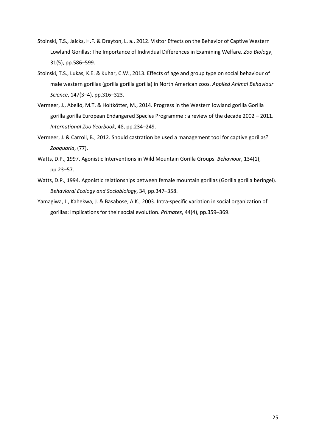- Stoinski, T.S., Jaicks, H.F. & Drayton, L. a., 2012. Visitor Effects on the Behavior of Captive Western Lowland Gorillas: The Importance of Individual Differences in Examining Welfare. *Zoo Biology*, 31(5), pp.586–599.
- Stoinski, T.S., Lukas, K.E. & Kuhar, C.W., 2013. Effects of age and group type on social behaviour of male western gorillas (gorilla gorilla gorilla) in North American zoos. *Applied Animal Behaviour Science*, 147(3–4), pp.316–323.
- Vermeer, J., Abelló, M.T. & Holtkötter, M., 2014. Progress in the Western lowland gorilla Gorilla gorilla gorilla European Endangered Species Programme : a review of the decade 2002 – 2011. *International Zoo Yearbook*, 48, pp.234–249.
- Vermeer, J. & Carroll, B., 2012. Should castration be used a management tool for captive gorillas? *Zooquaria*, (77).
- Watts, D.P., 1997. Agonistic Interventions in Wild Mountain Gorilla Groups. *Behaviour*, 134(1), pp.23–57.
- Watts, D.P., 1994. Agonistic relationships between female mountain gorillas (Gorilla gorilla beringei). *Behavioral Ecology and Sociobiology*, 34, pp.347–358.
- Yamagiwa, J., Kahekwa, J. & Basabose, A.K., 2003. Intra-specific variation in social organization of gorillas: implications for their social evolution. *Primates*, 44(4), pp.359–369.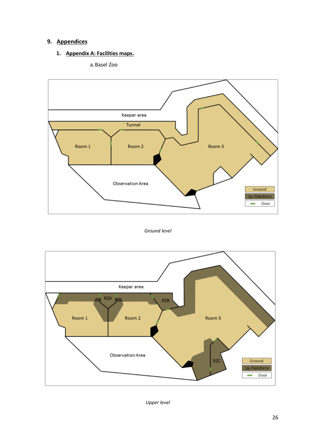# <span id="page-26-1"></span><span id="page-26-0"></span>**9. Appendices**

## **1. Appendix A: Facilities maps.**





## *Ground level*



*Upper level*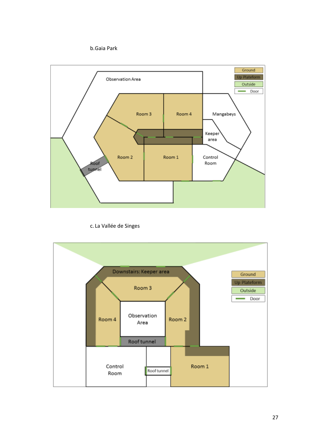



c. La Vallée de Singes